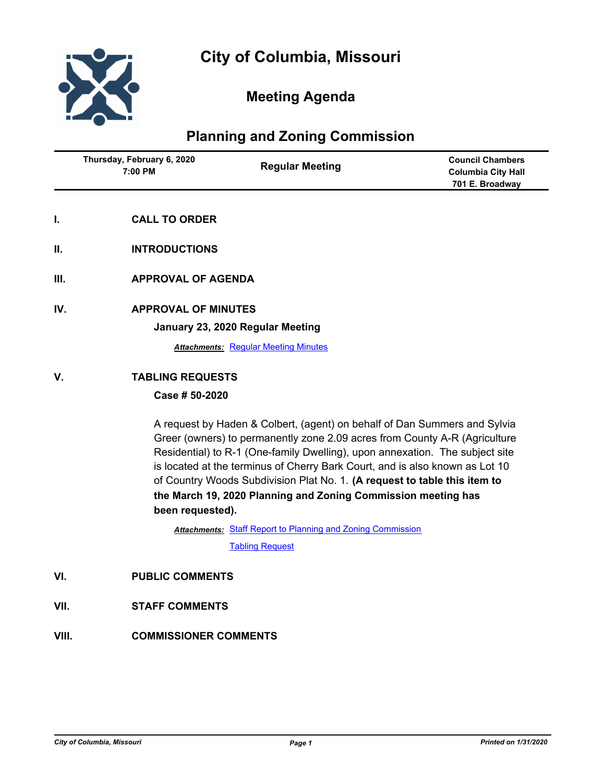

## **Meeting Agenda**

## **Planning and Zoning Commission**

|     | Thursday, February 6, 2020<br>7:00 PM | <b>Regular Meeting</b>                      | <b>Council Chambers</b><br><b>Columbia City Hall</b><br>701 E. Broadway |
|-----|---------------------------------------|---------------------------------------------|-------------------------------------------------------------------------|
| I.  | <b>CALL TO ORDER</b>                  |                                             |                                                                         |
| Ш.  | <b>INTRODUCTIONS</b>                  |                                             |                                                                         |
| Ш.  | <b>APPROVAL OF AGENDA</b>             |                                             |                                                                         |
| IV. | <b>APPROVAL OF MINUTES</b>            | January 23, 2020 Regular Meeting            |                                                                         |
|     |                                       | <b>Attachments: Regular Meeting Minutes</b> |                                                                         |
| V.  | <b>TABLING REQUESTS</b>               |                                             |                                                                         |
|     | Case # 50-2020                        |                                             |                                                                         |

A request by Haden & Colbert, (agent) on behalf of Dan Summers and Sylvia Greer (owners) to permanently zone 2.09 acres from County A-R (Agriculture Residential) to R-1 (One-family Dwelling), upon annexation. The subject site is located at the terminus of Cherry Bark Court, and is also known as Lot 10 of Country Woods Subdivision Plat No. 1. **(A request to table this item to the March 19, 2020 Planning and Zoning Commission meeting has been requested).**

Attachments: [Staff Report to Planning and Zoning Commission](http://gocolumbiamo.legistar.com/gateway.aspx?M=F&ID=b79e20b9-f755-495b-8b3f-33ee932ed553.docx)

[Tabling Request](http://gocolumbiamo.legistar.com/gateway.aspx?M=F&ID=32bcf6d6-5034-4ced-bd3d-a8c927fcd537.pdf)

- **VI. PUBLIC COMMENTS**
- **VII. STAFF COMMENTS**
- **VIII. COMMISSIONER COMMENTS**